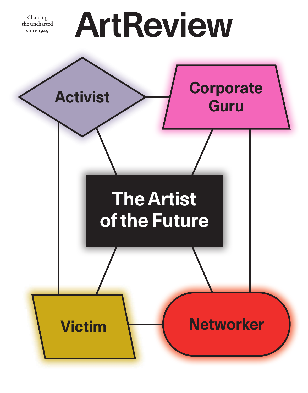